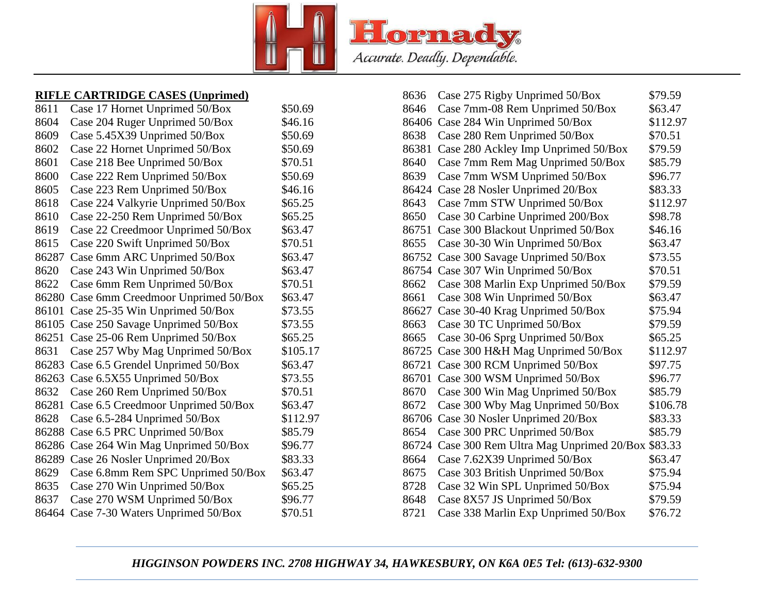

## **RIFLE CARTRIDGE CASES (Unprimed)**

| 8611  | Case 17 Hornet Unprimed 50/Box     | \$50.69  |
|-------|------------------------------------|----------|
| 8604  | Case 204 Ruger Unprimed 50/Box     | \$46.16  |
| 8609  | Case 5.45X39 Unprimed 50/Box       | \$50.69  |
| 8602  | Case 22 Hornet Unprimed 50/Box     | \$50.69  |
| 8601  | Case 218 Bee Unprimed 50/Box       | \$70.51  |
| 8600  | Case 222 Rem Unprimed 50/Box       | \$50.69  |
| 8605  | Case 223 Rem Unprimed 50/Box       | \$46.16  |
| 8618  | Case 224 Valkyrie Unprimed 50/Box  | \$65.25  |
| 8610  | Case 22-250 Rem Unprimed 50/Box    | \$65.25  |
| 8619  | Case 22 Creedmoor Unprimed 50/Box  | \$63.47  |
| 8615  | Case 220 Swift Unprimed 50/Box     | \$70.51  |
| 86287 | Case 6mm ARC Unprimed 50/Box       | \$63.47  |
| 8620  | Case 243 Win Unprimed 50/Box       | \$63.47  |
| 8622  | Case 6mm Rem Unprimed 50/Box       | \$70.51  |
| 86280 | Case 6mm Creedmoor Unprimed 50/Box | \$63.47  |
| 86101 | Case 25-35 Win Unprimed 50/Box     | \$73.55  |
| 86105 | Case 250 Savage Unprimed 50/Box    | \$73.55  |
| 86251 | Case 25-06 Rem Unprimed 50/Box     | \$65.25  |
| 8631  | Case 257 Wby Mag Unprimed 50/Box   | \$105.17 |
| 86283 | Case 6.5 Grendel Unprimed 50/Box   | \$63.47  |
| 86263 | Case 6.5X55 Unprimed 50/Box        | \$73.55  |
| 8632  | Case 260 Rem Unprimed 50/Box       | \$70.51  |
| 86281 | Case 6.5 Creedmoor Unprimed 50/Box | \$63.47  |
| 8628  | Case 6.5-284 Unprimed 50/Box       | \$112.97 |
| 86288 | Case 6.5 PRC Unprimed 50/Box       | \$85.79  |
| 86286 | Case 264 Win Mag Unprimed 50/Box   | \$96.77  |
| 86289 | Case 26 Nosler Unprimed 20/Box     | \$83.33  |
| 8629  | Case 6.8mm Rem SPC Unprimed 50/Box | \$63.47  |
| 8635  | Case 270 Win Unprimed 50/Box       | \$65.25  |
| 8637  | Case 270 WSM Unprimed 50/Box       | \$96.77  |
| 86464 | Case 7-30 Waters Unprimed 50/Box   | \$70.51  |
|       |                                    |          |

| 8636  | Case 275 Rigby Unprimed 50/Box         | \$79.59  |
|-------|----------------------------------------|----------|
| 8646  | Case 7mm-08 Rem Unprimed 50/Box        | \$63.47  |
| 86406 | Case 284 Win Unprimed 50/Box           | \$112.97 |
| 8638  | Case 280 Rem Unprimed 50/Box           | \$70.51  |
| 86381 | Case 280 Ackley Imp Unprimed 50/Box    | \$79.59  |
| 8640  | Case 7mm Rem Mag Unprimed 50/Box       | \$85.79  |
| 8639  | Case 7mm WSM Unprimed 50/Box           | \$96.77  |
| 86424 | Case 28 Nosler Unprimed 20/Box         | \$83.33  |
| 8643  | Case 7mm STW Unprimed 50/Box           | \$112.97 |
| 8650  | Case 30 Carbine Unprimed 200/Box       | \$98.78  |
| 86751 | Case 300 Blackout Unprimed 50/Box      | \$46.16  |
| 8655  | Case 30-30 Win Unprimed 50/Box         | \$63.47  |
| 86752 | Case 300 Savage Unprimed 50/Box        | \$73.55  |
| 86754 | Case 307 Win Unprimed 50/Box           | \$70.51  |
| 8662  | Case 308 Marlin Exp Unprimed 50/Box    | \$79.59  |
| 8661  | Case 308 Win Unprimed 50/Box           | \$63.47  |
| 86627 | Case 30-40 Krag Unprimed 50/Box        | \$75.94  |
| 8663  | Case 30 TC Unprimed 50/Box             | \$79.59  |
| 8665  | Case 30-06 Sprg Unprimed 50/Box        | \$65.25  |
| 86725 | Case 300 H&H Mag Unprimed 50/Box       | \$112.97 |
| 86721 | Case 300 RCM Unprimed 50/Box           | \$97.75  |
| 86701 | Case 300 WSM Unprimed 50/Box           | \$96.77  |
| 8670  | Case 300 Win Mag Unprimed 50/Box       | \$85.79  |
| 8672  | Case 300 Wby Mag Unprimed 50/Box       | \$106.78 |
| 86706 | Case 30 Nosler Unprimed 20/Box         | \$83.33  |
| 8654  | Case 300 PRC Unprimed 50/Box           | \$85.79  |
| 86724 | Case 300 Rem Ultra Mag Unprimed 20/Box | \$83.33  |
| 8664  | Case 7.62X39 Unprimed 50/Box           | \$63.47  |
| 8675  | Case 303 British Unprimed 50/Box       | \$75.94  |
| 8728  | Case 32 Win SPL Unprimed 50/Box        | \$75.94  |
| 8648  | Case 8X57 JS Unprimed 50/Box           | \$79.59  |
| 8721  | Case 338 Marlin Exp Unprimed 50/Box    | \$76.72  |

## *HIGGINSON POWDERS INC. 2708 HIGHWAY 34, HAWKESBURY, ON K6A 0E5 Tel: (613)-632-9300*